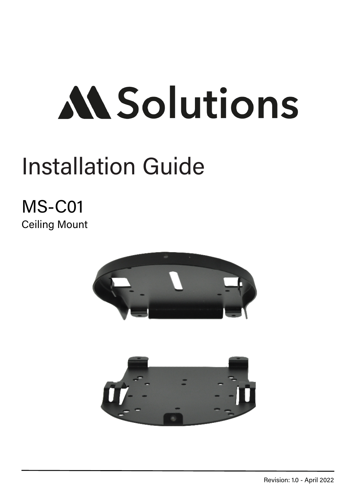# **MSolutions**

## Installation Guide

## MS-C01 Ceiling Mount



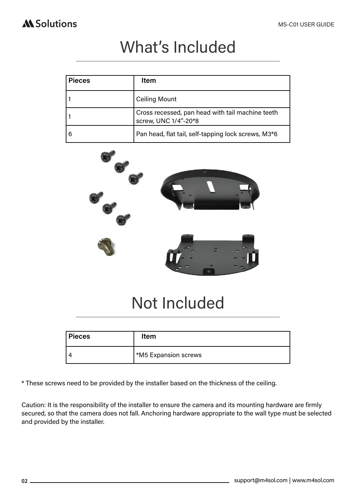#### **AL** Solutions

## What's Included

| <b>Pieces</b> | Item                                                                     |
|---------------|--------------------------------------------------------------------------|
|               | <b>Ceiling Mount</b>                                                     |
|               | Cross recessed, pan head with tail machine teeth<br>screw, UNC 1/4"-20*8 |
|               | Pan head, flat tail, self-tapping lock screws, M3*6                      |



## Not Included

| Pieces         | <b>Item</b>                 |
|----------------|-----------------------------|
| $\overline{a}$ | <b>*M5 Expansion screws</b> |

\* These screws need to be provided by the installer based on the thickness of the ceiling.

Caution: It is the responsibility of the installer to ensure the camera and its mounting hardware are firmly secured, so that the camera does not fall. Anchoring hardware appropriate to the wall type must be selected and provided by the installer.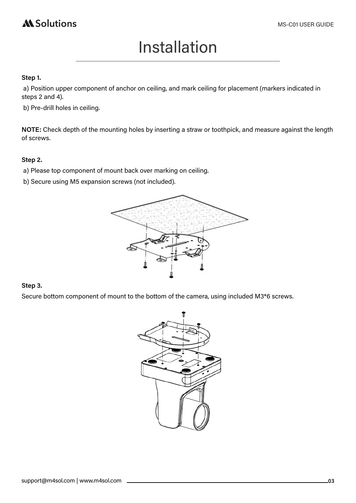## **AL** Solutions

## Installation

#### **Step 1.**

 a) Position upper component of anchor on ceiling, and mark ceiling for placement (markers indicated in steps 2 and 4).

b) Pre-drill holes in ceiling.

**NOTE:** Check depth of the mounting holes by inserting a straw or toothpick, and measure against the length of screws.

#### **Step 2.**

- a) Please top component of mount back over marking on ceiling.
- b) Secure using M5 expansion screws (not included).



#### **Step 3.**

Secure bottom component of mount to the bottom of the camera, using included M3\*6 screws.

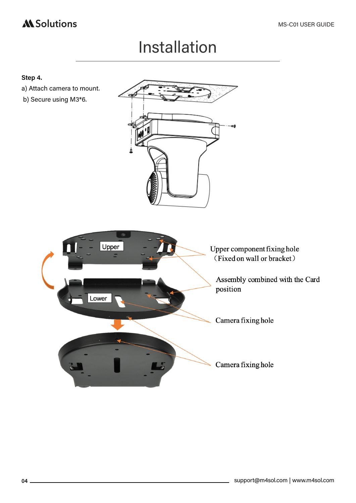### **Al Solutions**

## Installation

#### **Step 4.**

- a) Attach camera to mount.
- b) Secure using M3\*6.